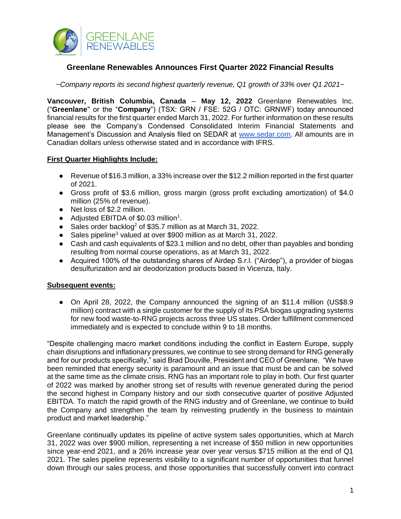

# **Greenlane Renewables Announces First Quarter 2022 Financial Results**

*~Company reports its second highest quarterly revenue, Q1 growth of 33% over Q1 2021~* 

**Vancouver, British Columbia, Canada** – **May 12, 2022** Greenlane Renewables Inc. ("**Greenlane**'' or the "**Company**") (TSX: GRN / FSE: 52G / OTC: GRNWF) today announced financial results for the first quarter ended March 31, 2022. For further information on these results please see the Company's Condensed Consolidated Interim Financial Statements and Management's Discussion and Analysis filed on SEDAR at [www.sedar.com.](http://www.sedar.com/) All amounts are in Canadian dollars unless otherwise stated and in accordance with IFRS.

#### **First Quarter Highlights Include:**

- Revenue of \$16.3 million, a 33% increase over the \$12.2 million reported in the first quarter of 2021.
- Gross profit of \$3.6 million, gross margin (gross profit excluding amortization) of \$4.0 million (25% of revenue).
- Net loss of \$2.2 million.
- Adjusted EBITDA of \$0.03 million<sup>1</sup>.
- Sales order backlog<sup>2</sup> of \$35.7 million as at March 31, 2022.
- Sales pipeline<sup>3</sup> valued at over \$900 million as at March 31, 2022.
- Cash and cash equivalents of \$23.1 million and no debt, other than payables and bonding resulting from normal course operations, as at March 31, 2022.
- Acquired 100% of the outstanding shares of Airdep S.r.l. ("Airdep"), a provider of biogas desulfurization and air deodorization products based in Vicenza, Italy.

#### **Subsequent events:**

• On April 28, 2022, the Company announced the signing of an \$11.4 million (US\$8.9) million) contract with a single customer for the supply of its PSA biogas upgrading systems for new food waste-to-RNG projects across three US states. Order fulfillment commenced immediately and is expected to conclude within 9 to 18 months.

"Despite challenging macro market conditions including the conflict in Eastern Europe, supply chain disruptions and inflationary pressures, we continue to see strong demand for RNG generally and for our products specifically," said Brad Douville, President and CEO of Greenlane. "We have been reminded that energy security is paramount and an issue that must be and can be solved at the same time as the climate crisis. RNG has an important role to play in both. Our first quarter of 2022 was marked by another strong set of results with revenue generated during the period the second highest in Company history and our sixth consecutive quarter of positive Adjusted EBITDA. To match the rapid growth of the RNG industry and of Greenlane, we continue to build the Company and strengthen the team by reinvesting prudently in the business to maintain product and market leadership."

Greenlane continually updates its pipeline of active system sales opportunities, which at March 31, 2022 was over \$900 million, representing a net increase of \$50 million in new opportunities since year-end 2021, and a 26% increase year over year versus \$715 million at the end of Q1 2021. The sales pipeline represents visibility to a significant number of opportunities that funnel down through our sales process, and those opportunities that successfully convert into contract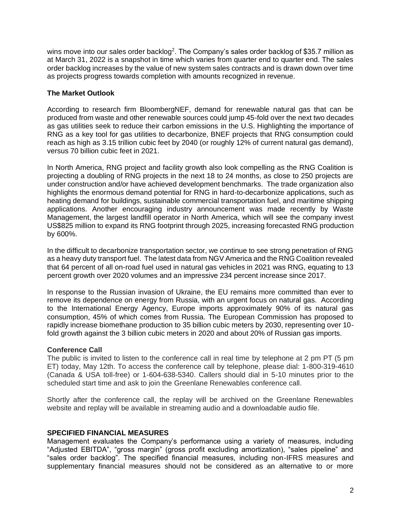wins move into our sales order backlog<sup>2</sup>. The Company's sales order backlog of \$35.7 million as at March 31, 2022 is a snapshot in time which varies from quarter end to quarter end. The sales order backlog increases by the value of new system sales contracts and is drawn down over time as projects progress towards completion with amounts recognized in revenue.

## **The Market Outlook**

According to research firm BloombergNEF, demand for renewable natural gas that can be produced from waste and other renewable sources could jump 45-fold over the next two decades as gas utilities seek to reduce their carbon emissions in the U.S. Highlighting the importance of RNG as a key tool for gas utilities to decarbonize, BNEF projects that RNG consumption could reach as high as 3.15 trillion cubic feet by 2040 (or roughly 12% of current natural gas demand), versus 70 billion cubic feet in 2021.

In North America, RNG project and facility growth also look compelling as the RNG Coalition is projecting a doubling of RNG projects in the next 18 to 24 months, as close to 250 projects are under construction and/or have achieved development benchmarks. The trade organization also highlights the enormous demand potential for RNG in hard-to-decarbonize applications, such as heating demand for buildings, sustainable commercial transportation fuel, and maritime shipping applications. Another encouraging industry announcement was made recently by Waste Management, the largest landfill operator in North America, which will see the company invest US\$825 million to expand its RNG footprint through 2025, increasing forecasted RNG production by 600%.

In the difficult to decarbonize transportation sector, we continue to see strong penetration of RNG as a heavy duty transport fuel. The latest data from NGV America and the RNG Coalition revealed that 64 percent of all on-road fuel used in natural gas vehicles in 2021 was RNG, equating to 13 percent growth over 2020 volumes and an impressive 234 percent increase since 2017.

In response to the Russian invasion of Ukraine, the EU remains more committed than ever to remove its dependence on energy from Russia, with an urgent focus on natural gas. According to the International Energy Agency, Europe imports approximately 90% of its natural gas consumption, 45% of which comes from Russia. The European Commission has proposed to rapidly increase biomethane production to 35 billion cubic meters by 2030, representing over 10 fold growth against the 3 billion cubic meters in 2020 and about 20% of Russian gas imports.

## **Conference Call**

The public is invited to listen to the conference call in real time by telephone at 2 pm PT (5 pm ET) today, May 12th. To access the conference call by telephone, please dial: 1-800-319-4610 (Canada & USA toll-free) or 1-604-638-5340. Callers should dial in 5-10 minutes prior to the scheduled start time and ask to join the Greenlane Renewables conference call.

Shortly after the conference call, the replay will be archived on the Greenlane Renewables website and replay will be available in streaming audio and a downloadable audio file.

## **SPECIFIED FINANCIAL MEASURES**

Management evaluates the Company's performance using a variety of measures, including "Adjusted EBITDA", "gross margin" (gross profit excluding amortization), "sales pipeline" and "sales order backlog". The specified financial measures, including non-IFRS measures and supplementary financial measures should not be considered as an alternative to or more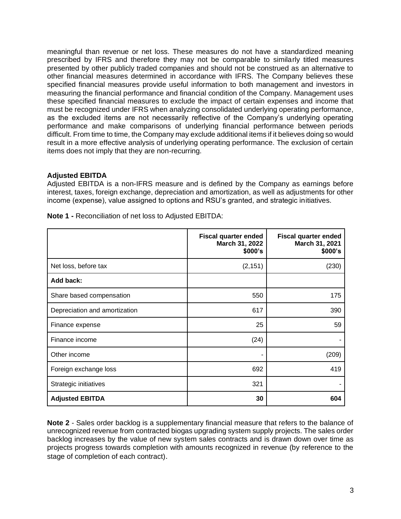meaningful than revenue or net loss. These measures do not have a standardized meaning prescribed by IFRS and therefore they may not be comparable to similarly titled measures presented by other publicly traded companies and should not be construed as an alternative to other financial measures determined in accordance with IFRS. The Company believes these specified financial measures provide useful information to both management and investors in measuring the financial performance and financial condition of the Company. Management uses these specified financial measures to exclude the impact of certain expenses and income that must be recognized under IFRS when analyzing consolidated underlying operating performance, as the excluded items are not necessarily reflective of the Company's underlying operating performance and make comparisons of underlying financial performance between periods difficult. From time to time, the Company may exclude additional items if it believes doing so would result in a more effective analysis of underlying operating performance. The exclusion of certain items does not imply that they are non-recurring.

# **Adjusted EBITDA**

Adjusted EBITDA is a non-IFRS measure and is defined by the Company as earnings before interest, taxes, foreign exchange, depreciation and amortization, as well as adjustments for other income (expense), value assigned to options and RSU's granted, and strategic initiatives.

|                               | <b>Fiscal quarter ended</b><br>March 31, 2022<br>\$000's | <b>Fiscal quarter ended</b><br>March 31, 2021<br>\$000's |
|-------------------------------|----------------------------------------------------------|----------------------------------------------------------|
| Net loss, before tax          | (2, 151)                                                 | (230)                                                    |
| Add back:                     |                                                          |                                                          |
| Share based compensation      | 550                                                      | 175                                                      |
| Depreciation and amortization | 617                                                      | 390                                                      |
| Finance expense               | 25                                                       | 59                                                       |
| Finance income                | (24)                                                     |                                                          |
| Other income                  |                                                          | (209)                                                    |
| Foreign exchange loss         | 692                                                      | 419                                                      |
| Strategic initiatives         | 321                                                      |                                                          |
| <b>Adjusted EBITDA</b>        | 30                                                       | 604                                                      |

**Note 1 -** Reconciliation of net loss to Adjusted EBITDA:

**Note 2** - Sales order backlog is a supplementary financial measure that refers to the balance of unrecognized revenue from contracted biogas upgrading system supply projects. The sales order backlog increases by the value of new system sales contracts and is drawn down over time as projects progress towards completion with amounts recognized in revenue (by reference to the stage of completion of each contract).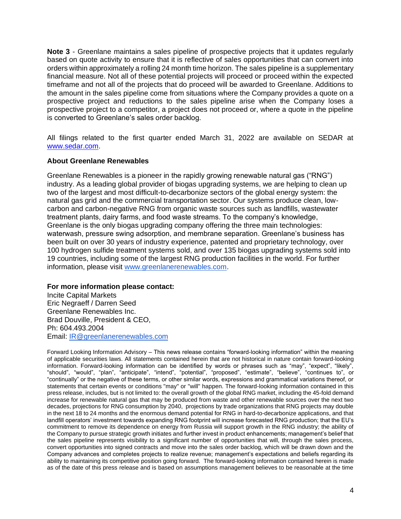**Note 3** - Greenlane maintains a sales pipeline of prospective projects that it updates regularly based on quote activity to ensure that it is reflective of sales opportunities that can convert into orders within approximately a rolling 24 month time horizon. The sales pipeline is a supplementary financial measure. Not all of these potential projects will proceed or proceed within the expected timeframe and not all of the projects that do proceed will be awarded to Greenlane. Additions to the amount in the sales pipeline come from situations where the Company provides a quote on a prospective project and reductions to the sales pipeline arise when the Company loses a prospective project to a competitor, a project does not proceed or, where a quote in the pipeline is converted to Greenlane's sales order backlog.

All filings related to the first quarter ended March 31, 2022 are available on SEDAR at [www.sedar.com.](http://www.sedar.com/)

#### **About Greenlane Renewables**

Greenlane Renewables is a pioneer in the rapidly growing renewable natural gas ("RNG") industry. As a leading global provider of biogas upgrading systems, we are helping to clean up two of the largest and most difficult-to-decarbonize sectors of the global energy system: the natural gas grid and the commercial transportation sector. Our systems produce clean, lowcarbon and carbon-negative RNG from organic waste sources such as landfills, wastewater treatment plants, dairy farms, and food waste streams. To the company's knowledge, Greenlane is the only biogas upgrading company offering the three main technologies: waterwash, pressure swing adsorption, and membrane separation. Greenlane's business has been built on over 30 years of industry experience, patented and proprietary technology, over 100 hydrogen sulfide treatment systems sold, and over 135 biogas upgrading systems sold into 19 countries, including some of the largest RNG production facilities in the world. For further information, please visit [www.greenlanerenewables.com.](http://www.greenlanerenewables.com/)

#### **For more information please contact:**

Incite Capital Markets Eric Negraeff / Darren Seed Greenlane Renewables Inc. Brad Douville, President & CEO, Ph: 604.493.2004 Email: [IR@greenlanerenewables.com](mailto:IR@greenlanerenewables.com)

Forward Looking Information Advisory – This news release contains "forward-looking information" within the meaning of applicable securities laws. All statements contained herein that are not historical in nature contain forward-looking information. Forward-looking information can be identified by words or phrases such as "may", "expect", "likely", "should", "would", "plan", "anticipate", "intend", "potential", "proposed", "estimate", "believe", "continues to", or "continually" or the negative of these terms, or other similar words, expressions and grammatical variations thereof, or statements that certain events or conditions "may" or "will" happen. The forward-looking information contained in this press release, includes, but is not limited to: the overall growth of the global RNG market, including the 45-fold demand increase for renewable natural gas that may be produced from waste and other renewable sources over the next two decades, projections for RNG consumption by 2040, projections by trade organizations that RNG projects may double in the next 18 to 24 months and the enormous demand potential for RNG in hard-to-decarbonize applications, and that landfill operators' investment towards expanding RNG footprint will increase forecasted RNG production; that the EU's commitment to remove its dependence on energy from Russia will support growth in the RNG industry; the ability of the Company to pursue strategic growth initiates and further invest in product enhancements; management's belief that the sales pipeline represents visibility to a significant number of opportunities that will, through the sales process, convert opportunities into signed contracts and move into the sales order backlog, which will be drawn down and the Company advances and completes projects to realize revenue; management's expectations and beliefs regarding its ability to maintaining its competitive position going forward. The forward-looking information contained herein is made as of the date of this press release and is based on assumptions management believes to be reasonable at the time